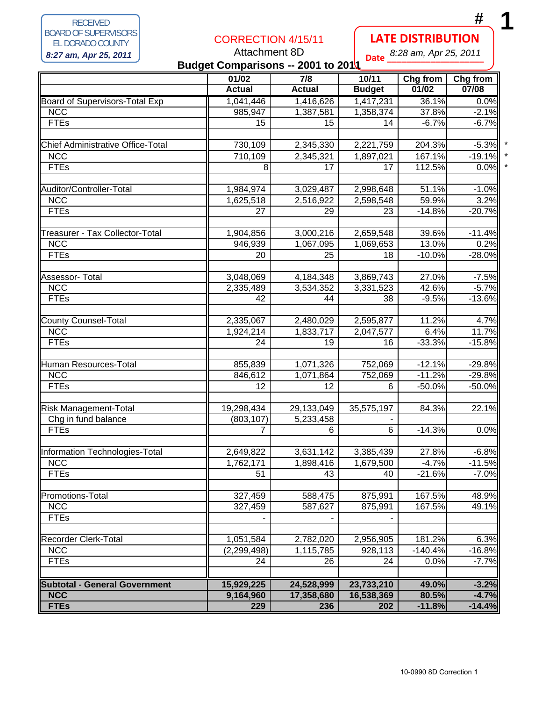RECEIVED BOARD OF SUPERVISORS EL DORADO COUNTY RECEIVED<br>
BOARD OF SUPERVISORS<br> **8:27 am, Apr 25, 2011**<br> **8:27 am, Apr 25, 2011**<br> **1 11**<br> **12.27 am, Apr 25, 2011**<br> **12.28 am, Apr 25, 2011** 

## CORRECTION 4/15/11

## Attachment 8D

## **LATE DISTRIBUTION**

**Date \_\_\_\_\_\_\_\_\_\_\_\_\_\_\_\_\_\_\_\_** 8:28 am, Apr 25, 2011

| Dale<br>Budget Comparisons -- 2001 to 2011 |               |                  |               |           |          |  |
|--------------------------------------------|---------------|------------------|---------------|-----------|----------|--|
|                                            | 01/02         | $\overline{7/8}$ | 10/11         | Chg from  | Chg from |  |
|                                            | <b>Actual</b> | <b>Actual</b>    | <b>Budget</b> | 01/02     | 07/08    |  |
| Board of Supervisors-Total Exp             | 1,041,446     | 1,416,626        | 1,417,231     | 36.1%     | 0.0%     |  |
| <b>NCC</b>                                 | 985,947       | 1,387,581        | 1,358,374     | 37.8%     | $-2.1%$  |  |
| <b>FTEs</b>                                | 15            | 15               | 14            | $-6.7%$   | $-6.7%$  |  |
|                                            |               |                  |               |           |          |  |
| <b>Chief Administrative Office-Total</b>   | 730,109       | 2,345,330        | 2,221,759     | 204.3%    | $-5.3%$  |  |
| <b>NCC</b>                                 | 710,109       | 2,345,321        | 1,897,021     | 167.1%    | $-19.1%$ |  |
| <b>FTEs</b>                                | 8             | 17               | 17            | 112.5%    | 0.0%     |  |
| Auditor/Controller-Total                   | 1,984,974     | 3,029,487        | 2,998,648     | 51.1%     | $-1.0%$  |  |
| <b>NCC</b>                                 | 1,625,518     | 2,516,922        | 2,598,548     | 59.9%     | 3.2%     |  |
| <b>FTEs</b>                                | 27            | 29               | 23            | $-14.8%$  | $-20.7%$ |  |
|                                            |               |                  |               |           |          |  |
| Treasurer - Tax Collector-Total            | 1,904,856     | 3,000,216        | 2,659,548     | 39.6%     | $-11.4%$ |  |
| <b>NCC</b>                                 | 946,939       | 1,067,095        | 1,069,653     | 13.0%     | 0.2%     |  |
| <b>FTEs</b>                                | 20            | 25               | 18            | $-10.0%$  | $-28.0%$ |  |
|                                            |               |                  |               |           |          |  |
| Assessor- Total                            | 3,048,069     | 4,184,348        | 3,869,743     | 27.0%     | $-7.5%$  |  |
| <b>NCC</b>                                 | 2,335,489     | 3,534,352        | 3,331,523     | 42.6%     | $-5.7%$  |  |
| <b>FTEs</b>                                | 42            | 44               | 38            | $-9.5%$   | $-13.6%$ |  |
|                                            |               |                  |               |           |          |  |
| <b>County Counsel-Total</b>                | 2,335,067     | 2,480,029        | 2,595,877     | 11.2%     | 4.7%     |  |
| <b>NCC</b>                                 | 1,924,214     | 1,833,717        | 2,047,577     | 6.4%      | 11.7%    |  |
| <b>FTEs</b>                                | 24            | 19               | 16            | $-33.3%$  | $-15.8%$ |  |
| Human Resources-Total                      | 855,839       | 1,071,326        | 752,069       | $-12.1%$  | $-29.8%$ |  |
| <b>NCC</b>                                 | 846,612       | 1,071,864        | 752,069       | $-11.2%$  | $-29.8%$ |  |
| <b>FTEs</b>                                | 12            | 12               | 6             | $-50.0%$  | $-50.0%$ |  |
|                                            |               |                  |               |           |          |  |
| <b>Risk Management-Total</b>               | 19,298,434    | 29,133,049       | 35,575,197    | 84.3%     | 22.1%    |  |
| Chg in fund balance                        | (803, 107)    | 5,233,458        |               |           |          |  |
| <b>FTEs</b>                                | 7             | 6                | 6             | $-14.3%$  | 0.0%     |  |
| Information Technologies-Total             | 2,649,822     | 3,631,142        | 3,385,439     | 27.8%     | $-6.8%$  |  |
| <b>NCC</b>                                 | 1,762,171     | 1,898,416        | 1,679,500     | $-4.7%$   | $-11.5%$ |  |
| <b>FTEs</b>                                | 51            | 43               | 40            | $-21.6%$  | $-7.0%$  |  |
|                                            |               |                  |               |           |          |  |
| Promotions-Total                           | 327,459       | 588,475          | 875,991       | 167.5%    | 48.9%    |  |
| <b>NCC</b>                                 | 327,459       | 587,627          | 875,991       | 167.5%    | 49.1%    |  |
| <b>FTEs</b>                                |               |                  |               |           |          |  |
| <b>Recorder Clerk-Total</b>                | 1,051,584     | 2,782,020        | 2,956,905     | 181.2%    | 6.3%     |  |
| <b>NCC</b>                                 | (2, 299, 498) | 1,115,785        | 928,113       | $-140.4%$ | $-16.8%$ |  |
| <b>FTEs</b>                                | 24            | 26               | 24            | 0.0%      | $-7.7%$  |  |
|                                            |               |                  |               |           |          |  |
| <b>Subtotal - General Government</b>       | 15,929,225    | 24,528,999       | 23,733,210    | 49.0%     | $-3.2%$  |  |
| <b>NCC</b>                                 | 9,164,960     | 17,358,680       | 16,538,369    | 80.5%     | $-4.7%$  |  |
| <b>FTEs</b>                                | 229           | 236              | 202           | $-11.8%$  | $-14.4%$ |  |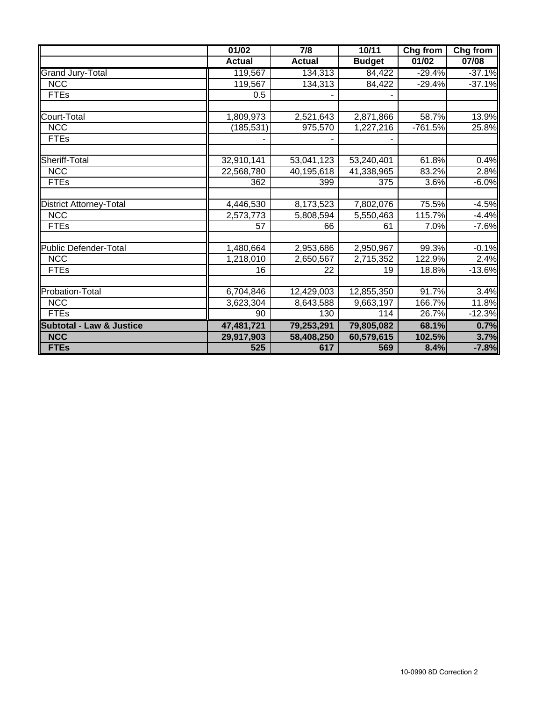|                                     | 01/02         | $\overline{7/8}$ | 10/11         | Chg from  | Chg from  |
|-------------------------------------|---------------|------------------|---------------|-----------|-----------|
|                                     | <b>Actual</b> | <b>Actual</b>    | <b>Budget</b> | 01/02     | 07/08     |
| <b>Grand Jury-Total</b>             | 119,567       | 134,313          | 84,422        | $-29.4%$  | $-37.1%$  |
| <b>NCC</b>                          | 119,567       | 134,313          | 84,422        | $-29.4%$  | $-37.1%$  |
| <b>FTEs</b>                         | 0.5           |                  |               |           |           |
|                                     |               |                  |               |           |           |
| Court-Total                         | 1,809,973     | 2,521,643        | 2,871,866     | 58.7%     | 13.9%     |
| <b>NCC</b>                          | (185, 531)    | 975,570          | 1,227,216     | $-761.5%$ | 25.8%     |
| <b>FTEs</b>                         |               |                  |               |           |           |
| Sheriff-Total                       | 32,910,141    | 53,041,123       | 53,240,401    | 61.8%     | 0.4%      |
| <b>NCC</b>                          | 22,568,780    | 40,195,618       | 41,338,965    | 83.2%     | 2.8%      |
| <b>FTEs</b>                         | 362           | 399              | 375           | 3.6%      | $-6.0%$   |
|                                     |               |                  |               |           |           |
| <b>District Attorney-Total</b>      | 4,446,530     | 8,173,523        | 7,802,076     | 75.5%     | $-4.5%$   |
| <b>NCC</b>                          | 2,573,773     | 5,808,594        | 5,550,463     | 115.7%    | $-4.4%$   |
| <b>FTEs</b>                         | 57            | 66               | 61            | 7.0%      | $-7.6%$   |
|                                     |               |                  |               |           |           |
| <b>Public Defender-Total</b>        | 1,480,664     | 2,953,686        | 2,950,967     | 99.3%     | $-0.1%$   |
| <b>NCC</b>                          | 1,218,010     | 2,650,567        | 2,715,352     | 122.9%    | 2.4%      |
| <b>FTEs</b>                         | 16            | 22               | 19            | 18.8%     | $-13.6\%$ |
|                                     |               |                  |               |           |           |
| Probation-Total                     | 6,704,846     | 12,429,003       | 12,855,350    | 91.7%     | 3.4%      |
| <b>NCC</b>                          | 3,623,304     | 8,643,588        | 9,663,197     | 166.7%    | 11.8%     |
| <b>FTEs</b>                         | 90            | 130              | 114           | 26.7%     | $-12.3%$  |
| <b>Subtotal - Law &amp; Justice</b> | 47,481,721    | 79,253,291       | 79,805,082    | 68.1%     | 0.7%      |
| <b>NCC</b>                          | 29,917,903    | 58,408,250       | 60,579,615    | 102.5%    | 3.7%      |
| <b>FTEs</b>                         | 525           | 617              | 569           | 8.4%      | $-7.8%$   |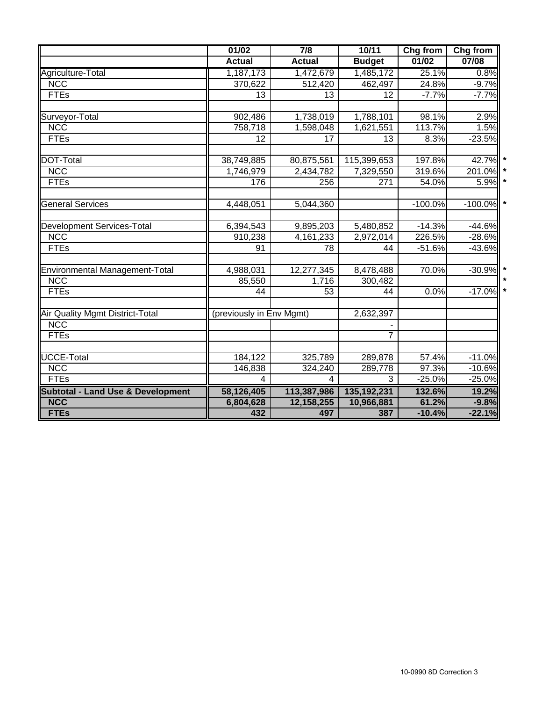|                                              | 01/02                    | $\overline{7/8}$        | 10/11          | Chg from  | Chg from  |
|----------------------------------------------|--------------------------|-------------------------|----------------|-----------|-----------|
|                                              | <b>Actual</b>            | <b>Actual</b>           | <b>Budget</b>  | 01/02     | 07/08     |
| Agriculture-Total                            | 1,187,173                | 1,472,679               | 1,485,172      | 25.1%     | 0.8%      |
| <b>NCC</b>                                   | 370,622                  | 512,420                 | 462,497        | 24.8%     | $-9.7%$   |
| <b>FTEs</b>                                  | 13                       | 13                      | 12             | $-7.7%$   | $-7.7%$   |
|                                              |                          |                         |                |           |           |
| Surveyor-Total                               | 902,486                  | 1,738,019               | 1,788,101      | 98.1%     | 2.9%      |
| <b>NCC</b>                                   | 758,718                  | 1,598,048               | 1,621,551      | 113.7%    | 1.5%      |
| <b>FTEs</b>                                  | 12                       | 17                      | 13             | 8.3%      | $-23.5%$  |
| DOT-Total                                    | 38,749,885               | 80,875,561              | 115,399,653    | 197.8%    | 42.7%     |
| <b>NCC</b>                                   | 1,746,979                | 2,434,782               | 7,329,550      | 319.6%    | 201.0%    |
| <b>FTEs</b>                                  | 176                      | 256                     | 271            | 54.0%     | 5.9%      |
| <b>General Services</b>                      | 4,448,051                | 5,044,360               |                | $-100.0%$ | $-100.0%$ |
|                                              |                          |                         |                |           |           |
| <b>Development Services-Total</b>            | 6,394,543                | 9,895,203               | 5,480,852      | $-14.3%$  | $-44.6%$  |
| <b>NCC</b><br><b>FTEs</b>                    | 910,238                  | 4,161,233               | 2,972,014      | 226.5%    | $-28.6%$  |
|                                              | 91                       | 78                      | 44             | $-51.6%$  | $-43.6%$  |
| Environmental Management-Total               | 4,988,031                | 12,277,345              | 8,478,488      | 70.0%     | $-30.9%$  |
| <b>NCC</b>                                   | 85,550                   | 1,716                   | 300,482        |           |           |
| <b>FTEs</b>                                  | 44                       | 53                      | 44             | 0.0%      | $-17.0%$  |
| Air Quality Mgmt District-Total              | (previously in Env Mgmt) |                         | 2,632,397      |           |           |
| <b>NCC</b>                                   |                          |                         |                |           |           |
| <b>FTEs</b>                                  |                          |                         | $\overline{7}$ |           |           |
| <b>UCCE-Total</b>                            | 184,122                  | 325,789                 | 289,878        | 57.4%     | $-11.0%$  |
| <b>NCC</b>                                   | 146,838                  | 324,240                 | 289,778        | 97.3%     | $-10.6%$  |
| <b>FTEs</b>                                  | 4                        | $\overline{\mathbf{4}}$ | 3              | $-25.0%$  | $-25.0%$  |
| <b>Subtotal - Land Use &amp; Development</b> | 58,126,405               | 113,387,986             | 135, 192, 231  | 132.6%    | 19.2%     |
| <b>NCC</b>                                   | 6,804,628                | 12,158,255              | 10,966,881     | 61.2%     | $-9.8%$   |
| <b>FTEs</b>                                  | 432                      | 497                     | 387            | $-10.4%$  | $-22.1%$  |